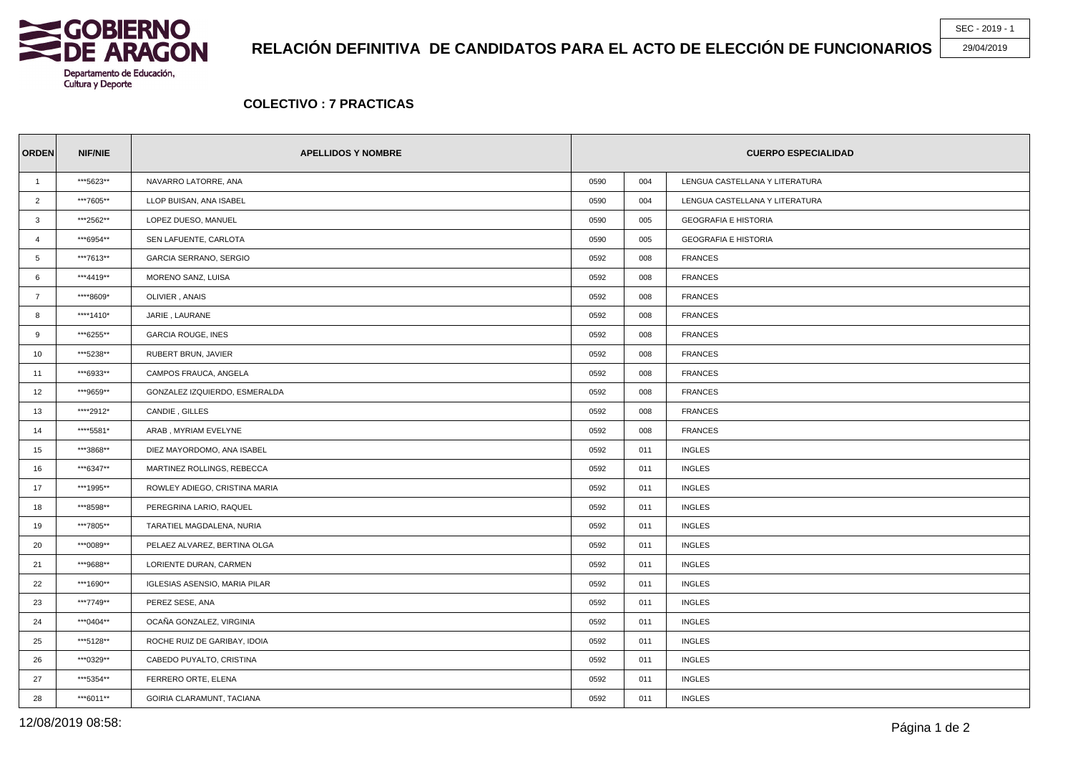

## **RELACIÓN DEFINITIVA DE CANDIDATOS PARA EL ACTO DE ELECCIÓN DE FUNCIONARIOS**

SEC - 2019 - 1

29/04/2019

## **COLECTIVO : 7 PRACTICAS**

| <b>ORDEN</b>   | <b>NIF/NIE</b> | <b>APELLIDOS Y NOMBRE</b>            | <b>CUERPO ESPECIALIDAD</b> |     |                                |  |
|----------------|----------------|--------------------------------------|----------------------------|-----|--------------------------------|--|
| $\overline{1}$ | ***5623**      | NAVARRO LATORRE, ANA                 | 0590                       | 004 | LENGUA CASTELLANA Y LITERATURA |  |
| $\overline{2}$ | ***7605**      | LLOP BUISAN, ANA ISABEL              | 0590                       | 004 | LENGUA CASTELLANA Y LITERATURA |  |
| $\mathbf{3}$   | ***2562**      | LOPEZ DUESO, MANUEL                  | 0590                       | 005 | <b>GEOGRAFIA E HISTORIA</b>    |  |
| $\overline{4}$ | ***6954**      | SEN LAFUENTE, CARLOTA                | 0590                       | 005 | <b>GEOGRAFIA E HISTORIA</b>    |  |
| 5              | ***7613**      | GARCIA SERRANO, SERGIO               | 0592                       | 008 | <b>FRANCES</b>                 |  |
| 6              | ***4419**      | MORENO SANZ, LUISA                   | 0592                       | 008 | <b>FRANCES</b>                 |  |
| $\overline{7}$ | ****8609*      | OLIVIER, ANAIS                       | 0592                       | 008 | <b>FRANCES</b>                 |  |
| 8              | ****1410*      | JARIE, LAURANE                       | 0592                       | 008 | <b>FRANCES</b>                 |  |
| 9              | ***6255**      | <b>GARCIA ROUGE, INES</b>            | 0592                       | 008 | <b>FRANCES</b>                 |  |
| 10             | ***5238**      | RUBERT BRUN, JAVIER                  | 0592                       | 008 | <b>FRANCES</b>                 |  |
| 11             | ***6933**      | CAMPOS FRAUCA, ANGELA                | 0592                       | 008 | <b>FRANCES</b>                 |  |
| 12             | ***9659**      | GONZALEZ IZQUIERDO, ESMERALDA        | 0592                       | 008 | <b>FRANCES</b>                 |  |
| 13             | *****2912*     | CANDIE, GILLES                       | 0592                       | 008 | <b>FRANCES</b>                 |  |
| 14             | ****5581*      | ARAB, MYRIAM EVELYNE                 | 0592                       | 008 | <b>FRANCES</b>                 |  |
| 15             | ***3868**      | DIEZ MAYORDOMO, ANA ISABEL           | 0592                       | 011 | <b>INGLES</b>                  |  |
| 16             | ***6347**      | MARTINEZ ROLLINGS, REBECCA           | 0592                       | 011 | <b>INGLES</b>                  |  |
| 17             | ***1995**      | ROWLEY ADIEGO, CRISTINA MARIA        | 0592                       | 011 | <b>INGLES</b>                  |  |
| 18             | ***8598**      | PEREGRINA LARIO, RAQUEL              | 0592                       | 011 | <b>INGLES</b>                  |  |
| 19             | ***7805**      | TARATIEL MAGDALENA, NURIA            | 0592                       | 011 | <b>INGLES</b>                  |  |
| 20             | ***0089**      | PELAEZ ALVAREZ, BERTINA OLGA         | 0592                       | 011 | <b>INGLES</b>                  |  |
| 21             | ***9688**      | LORIENTE DURAN, CARMEN               | 0592                       | 011 | <b>INGLES</b>                  |  |
| 22             | ***1690**      | <b>IGLESIAS ASENSIO, MARIA PILAR</b> | 0592                       | 011 | <b>INGLES</b>                  |  |
| 23             | ***7749**      | PEREZ SESE, ANA                      | 0592                       | 011 | <b>INGLES</b>                  |  |
| 24             | ***0404**      | OCAÑA GONZALEZ, VIRGINIA             | 0592                       | 011 | <b>INGLES</b>                  |  |
| 25             | ***5128**      | ROCHE RUIZ DE GARIBAY. IDOIA         | 0592                       | 011 | <b>INGLES</b>                  |  |
| 26             | ***0329**      | CABEDO PUYALTO, CRISTINA             | 0592                       | 011 | <b>INGLES</b>                  |  |
| 27             | ***5354**      | FERRERO ORTE, ELENA                  | 0592                       | 011 | <b>INGLES</b>                  |  |
| 28             | ***6011**      | GOIRIA CLARAMUNT, TACIANA            | 0592                       | 011 | <b>INGLES</b>                  |  |